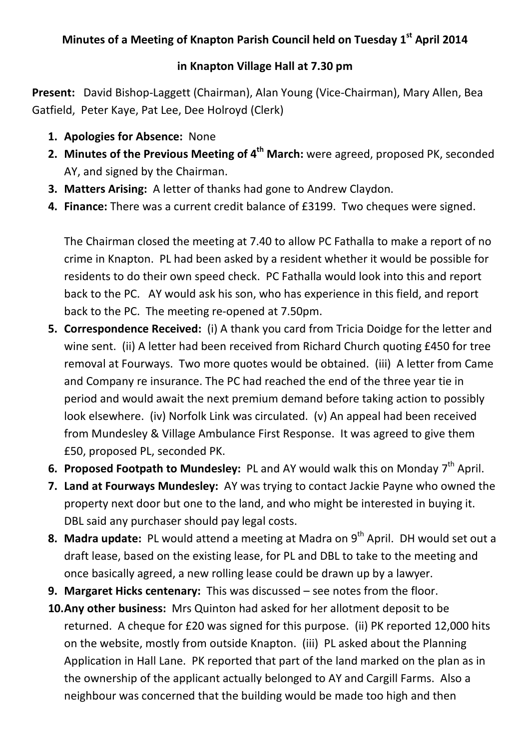## **Minutes of a Meeting of Knapton Parish Council held on Tuesday 1st April 2014**

## **in Knapton Village Hall at 7.30 pm**

**Present:** David Bishop-Laggett (Chairman), Alan Young (Vice-Chairman), Mary Allen, Bea Gatfield, Peter Kaye, Pat Lee, Dee Holroyd (Clerk)

- **1. Apologies for Absence:** None
- **2. Minutes of the Previous Meeting of 4th March:** were agreed, proposed PK, seconded AY, and signed by the Chairman.
- **3. Matters Arising:** A letter of thanks had gone to Andrew Claydon.
- **4. Finance:** There was a current credit balance of £3199. Two cheques were signed.

The Chairman closed the meeting at 7.40 to allow PC Fathalla to make a report of no crime in Knapton. PL had been asked by a resident whether it would be possible for residents to do their own speed check. PC Fathalla would look into this and report back to the PC. AY would ask his son, who has experience in this field, and report back to the PC. The meeting re-opened at 7.50pm.

- **5. Correspondence Received:** (i) A thank you card from Tricia Doidge for the letter and wine sent.(ii) A letter had been received from Richard Church quoting £450 for tree removal at Fourways. Two more quotes would be obtained. (iii) A letter from Came and Company re insurance. The PC had reached the end of the three year tie in period and would await the next premium demand before taking action to possibly look elsewhere. (iv) Norfolk Link was circulated. (v) An appeal had been received from Mundesley & Village Ambulance First Response. It was agreed to give them £50, proposed PL, seconded PK.
- **6. Proposed Footpath to Mundesley:** PL and AY would walk this on Monday 7<sup>th</sup> April.
- **7. Land at Fourways Mundesley:** AY was trying to contact Jackie Payne who owned the property next door but one to the land, and who might be interested in buying it. DBL said any purchaser should pay legal costs.
- **8. Madra update:** PL would attend a meeting at Madra on 9<sup>th</sup> April. DH would set out a draft lease, based on the existing lease, for PL and DBL to take to the meeting and once basically agreed, a new rolling lease could be drawn up by a lawyer.
- **9. Margaret Hicks centenary:** This was discussed see notes from the floor.
- **10.Any other business:** Mrs Quinton had asked for her allotment deposit to be returned. A cheque for £20 was signed for this purpose. (ii) PK reported 12,000 hits on the website, mostly from outside Knapton. (iii) PL asked about the Planning Application in Hall Lane. PK reported that part of the land marked on the plan as in the ownership of the applicant actually belonged to AY and Cargill Farms. Also a neighbour was concerned that the building would be made too high and then